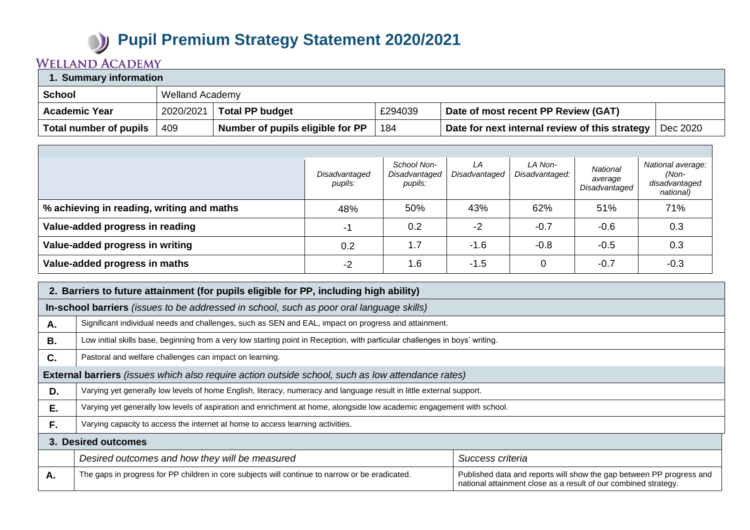## **Pupil Premium Strategy Statement 2020/2021**

## **WELLAND ACADEMY**

| 1. Summary information |           |                                  |         |                                                |          |  |
|------------------------|-----------|----------------------------------|---------|------------------------------------------------|----------|--|
| <b>School</b>          |           | <b>Welland Academy</b>           |         |                                                |          |  |
| <b>Academic Year</b>   | 2020/2021 | <b>Total PP budget</b>           | £294039 | Date of most recent PP Review (GAT)            |          |  |
| Total number of pupils | 409       | Number of pupils eligible for PP | 184     | Date for next internal review of this strategy | Dec 2020 |  |

|                                           | Disadvantaged<br>pupils: | School Non-<br>Disadvantaged<br>pupils: | LA<br>Disadvantaged | LA Non-<br>Disadvantaged: | National<br>average<br>Disadvantaged | National average:<br>(Non-<br>disadvantaged<br>national) |
|-------------------------------------------|--------------------------|-----------------------------------------|---------------------|---------------------------|--------------------------------------|----------------------------------------------------------|
| % achieving in reading, writing and maths | 48%                      | 50%                                     | 43%                 | 62%                       | 51%                                  | 71%                                                      |
| Value-added progress in reading           | -1                       | 0.2                                     | $-2$                | $-0.7$                    | $-0.6$                               | 0.3                                                      |
| Value-added progress in writing           | 0.2                      | 1.7                                     | $-1.6$              | $-0.8$                    | $-0.5$                               | 0.3                                                      |
| Value-added progress in maths             | -2                       | 1.6                                     | $-1.5$              |                           | $-0.7$                               | $-0.3$                                                   |

| 2. Barriers to future attainment (for pupils eligible for PP, including high ability) |                                                                                                                              |                                                                                                                                         |  |  |  |  |  |
|---------------------------------------------------------------------------------------|------------------------------------------------------------------------------------------------------------------------------|-----------------------------------------------------------------------------------------------------------------------------------------|--|--|--|--|--|
|                                                                                       | In-school barriers (issues to be addressed in school, such as poor oral language skills)                                     |                                                                                                                                         |  |  |  |  |  |
| Α.                                                                                    | Significant individual needs and challenges, such as SEN and EAL, impact on progress and attainment.                         |                                                                                                                                         |  |  |  |  |  |
| <b>B.</b>                                                                             | Low initial skills base, beginning from a very low starting point in Reception, with particular challenges in boys' writing. |                                                                                                                                         |  |  |  |  |  |
| C.                                                                                    | Pastoral and welfare challenges can impact on learning.                                                                      |                                                                                                                                         |  |  |  |  |  |
|                                                                                       | <b>External barriers</b> (issues which also require action outside school, such as low attendance rates)                     |                                                                                                                                         |  |  |  |  |  |
| D.                                                                                    | Varying yet generally low levels of home English, literacy, numeracy and language result in little external support.         |                                                                                                                                         |  |  |  |  |  |
| E.                                                                                    | Varying yet generally low levels of aspiration and enrichment at home, alongside low academic engagement with school.        |                                                                                                                                         |  |  |  |  |  |
| F.                                                                                    | Varying capacity to access the internet at home to access learning activities.                                               |                                                                                                                                         |  |  |  |  |  |
|                                                                                       | 3. Desired outcomes                                                                                                          |                                                                                                                                         |  |  |  |  |  |
|                                                                                       | Desired outcomes and how they will be measured                                                                               | Success criteria                                                                                                                        |  |  |  |  |  |
| А.                                                                                    | The gaps in progress for PP children in core subjects will continue to narrow or be eradicated.                              | Published data and reports will show the gap between PP progress and<br>national attainment close as a result of our combined strategy. |  |  |  |  |  |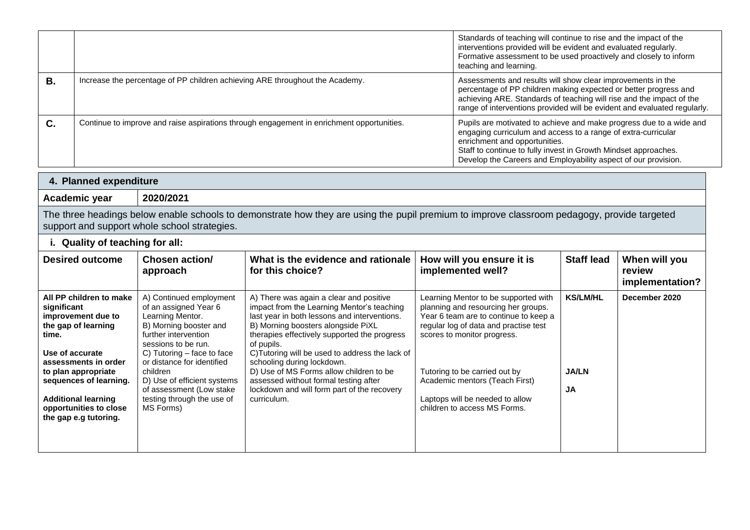|    |                                                                                           | Standards of teaching will continue to rise and the impact of the<br>interventions provided will be evident and evaluated regularly.<br>Formative assessment to be used proactively and closely to inform<br>teaching and learning.                                                                        |
|----|-------------------------------------------------------------------------------------------|------------------------------------------------------------------------------------------------------------------------------------------------------------------------------------------------------------------------------------------------------------------------------------------------------------|
| В. | Increase the percentage of PP children achieving ARE throughout the Academy.              | Assessments and results will show clear improvements in the<br>percentage of PP children making expected or better progress and<br>achieving ARE. Standards of teaching will rise and the impact of the<br>range of interventions provided will be evident and evaluated regularly.                        |
| С. | Continue to improve and raise aspirations through engagement in enrichment opportunities. | Pupils are motivated to achieve and make progress due to a wide and<br>engaging curriculum and access to a range of extra-curricular<br>enrichment and opportunities.<br>Staff to continue to fully invest in Growth Mindset approaches.<br>Develop the Careers and Employability aspect of our provision. |

| <b>Planned expenditure</b><br>4 |           |  |  |  |
|---------------------------------|-----------|--|--|--|
| <b>Academic year</b>            | 2020/2021 |  |  |  |

The three headings below enable schools to demonstrate how they are using the pupil premium to improve classroom pedagogy, provide targeted support and support whole school strategies.

|  | i. Quality of teaching for all: |  |  |  |  |  |
|--|---------------------------------|--|--|--|--|--|
|--|---------------------------------|--|--|--|--|--|

| <b>Desired outcome</b>                                                                                                                                                                                                                                                    | <b>Chosen action/</b><br>approach                                                                                                                                                                                                                                                                                             | What is the evidence and rationale<br>for this choice?                                                                                                                                                                                                                                                                                                                                                                                                                       | How will you ensure it is<br>implemented well?                                                                                                                                                                                                                                                                                     | <b>Staff lead</b>                     | When will you<br>review<br>implementation? |
|---------------------------------------------------------------------------------------------------------------------------------------------------------------------------------------------------------------------------------------------------------------------------|-------------------------------------------------------------------------------------------------------------------------------------------------------------------------------------------------------------------------------------------------------------------------------------------------------------------------------|------------------------------------------------------------------------------------------------------------------------------------------------------------------------------------------------------------------------------------------------------------------------------------------------------------------------------------------------------------------------------------------------------------------------------------------------------------------------------|------------------------------------------------------------------------------------------------------------------------------------------------------------------------------------------------------------------------------------------------------------------------------------------------------------------------------------|---------------------------------------|--------------------------------------------|
| All PP children to make<br>significant<br>improvement due to<br>the gap of learning<br>time.<br>Use of accurate<br>assessments in order<br>to plan appropriate<br>sequences of learning.<br><b>Additional learning</b><br>opportunities to close<br>the gap e.g tutoring. | A) Continued employment<br>of an assigned Year 6<br>Learning Mentor.<br>B) Morning booster and<br>further intervention<br>sessions to be run.<br>C) Tutoring $-$ face to face<br>or distance for identified<br>children<br>D) Use of efficient systems<br>of assessment (Low stake<br>testing through the use of<br>MS Forms) | A) There was again a clear and positive<br>impact from the Learning Mentor's teaching<br>last year in both lessons and interventions.<br>B) Morning boosters alongside PiXL<br>therapies effectively supported the progress<br>of pupils.<br>C) Tutoring will be used to address the lack of<br>schooling during lockdown.<br>D) Use of MS Forms allow children to be<br>assessed without formal testing after<br>lockdown and will form part of the recovery<br>curriculum. | Learning Mentor to be supported with<br>planning and resourcing her groups.<br>Year 6 team are to continue to keep a<br>regular log of data and practise test<br>scores to monitor progress.<br>Tutoring to be carried out by<br>Academic mentors (Teach First)<br>Laptops will be needed to allow<br>children to access MS Forms. | <b>KS/LM/HL</b><br><b>JA/LN</b><br>JA | December 2020                              |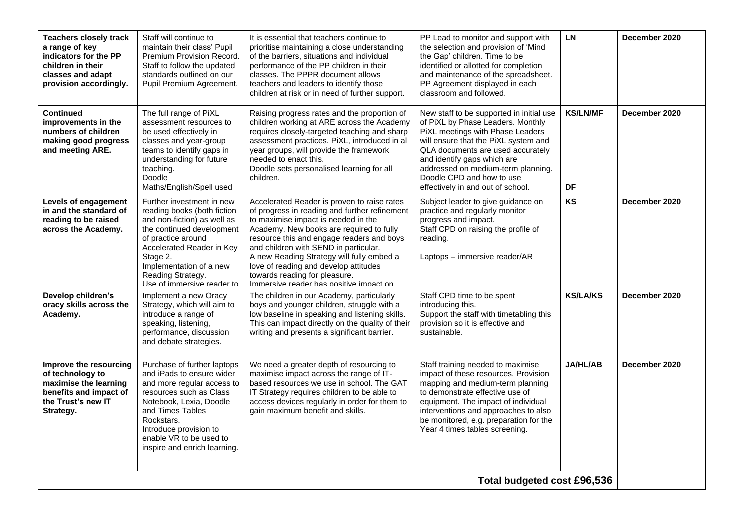| <b>Teachers closely track</b><br>a range of key<br>indicators for the PP<br>children in their<br>classes and adapt<br>provision accordingly. | Staff will continue to<br>maintain their class' Pupil<br>Premium Provision Record.<br>Staff to follow the updated<br>standards outlined on our<br>Pupil Premium Agreement.                                                                                          | It is essential that teachers continue to<br>prioritise maintaining a close understanding<br>of the barriers, situations and individual<br>performance of the PP children in their<br>classes. The PPPR document allows<br>teachers and leaders to identify those<br>children at risk or in need of further support.                                                                                                                    | PP Lead to monitor and support with<br>the selection and provision of 'Mind<br>the Gap' children. Time to be<br>identified or allotted for completion<br>and maintenance of the spreadsheet.<br>PP Agreement displayed in each<br>classroom and followed.                                                                             | <b>LN</b>             | December 2020 |  |
|----------------------------------------------------------------------------------------------------------------------------------------------|---------------------------------------------------------------------------------------------------------------------------------------------------------------------------------------------------------------------------------------------------------------------|-----------------------------------------------------------------------------------------------------------------------------------------------------------------------------------------------------------------------------------------------------------------------------------------------------------------------------------------------------------------------------------------------------------------------------------------|---------------------------------------------------------------------------------------------------------------------------------------------------------------------------------------------------------------------------------------------------------------------------------------------------------------------------------------|-----------------------|---------------|--|
| <b>Continued</b><br>improvements in the<br>numbers of children<br>making good progress<br>and meeting ARE.                                   | The full range of PiXL<br>assessment resources to<br>be used effectively in<br>classes and year-group<br>teams to identify gaps in<br>understanding for future<br>teaching.<br>Doodle<br>Maths/English/Spell used                                                   | Raising progress rates and the proportion of<br>children working at ARE across the Academy<br>requires closely-targeted teaching and sharp<br>assessment practices. PiXL, introduced in al<br>year groups, will provide the framework<br>needed to enact this.<br>Doodle sets personalised learning for all<br>children.                                                                                                                | New staff to be supported in initial use<br>of PiXL by Phase Leaders. Monthly<br>PiXL meetings with Phase Leaders<br>will ensure that the PiXL system and<br>QLA documents are used accurately<br>and identify gaps which are<br>addressed on medium-term planning.<br>Doodle CPD and how to use<br>effectively in and out of school. | <b>KS/LN/MF</b><br>DF | December 2020 |  |
| <b>Levels of engagement</b><br>in and the standard of<br>reading to be raised<br>across the Academy.                                         | Further investment in new<br>reading books (both fiction<br>and non-fiction) as well as<br>the continued development<br>of practice around<br>Accelerated Reader in Key<br>Stage 2.<br>Implementation of a new<br>Reading Strategy.<br>I lea of immarciva raadar to | Accelerated Reader is proven to raise rates<br>of progress in reading and further refinement<br>to maximise impact is needed in the<br>Academy. New books are required to fully<br>resource this and engage readers and boys<br>and children with SEND in particular.<br>A new Reading Strategy will fully embed a<br>love of reading and develop attitudes<br>towards reading for pleasure.<br>Immarciva raadar has nositiva imnact on | Subject leader to give guidance on<br>practice and regularly monitor<br>progress and impact.<br>Staff CPD on raising the profile of<br>reading.<br>Laptops - immersive reader/AR                                                                                                                                                      | KS                    | December 2020 |  |
| Develop children's<br>oracy skills across the<br>Academy.                                                                                    | Implement a new Oracy<br>Strategy, which will aim to<br>introduce a range of<br>speaking, listening,<br>performance, discussion<br>and debate strategies.                                                                                                           | The children in our Academy, particularly<br>boys and younger children, struggle with a<br>low baseline in speaking and listening skills.<br>This can impact directly on the quality of their<br>writing and presents a significant barrier.                                                                                                                                                                                            | Staff CPD time to be spent<br>introducing this.<br>Support the staff with timetabling this<br>provision so it is effective and<br>sustainable.                                                                                                                                                                                        | <b>KS/LA/KS</b>       | December 2020 |  |
| Improve the resourcing<br>of technology to<br>maximise the learning<br>benefits and impact of<br>the Trust's new IT<br>Strategy.             | Purchase of further laptops<br>and iPads to ensure wider<br>and more regular access to<br>resources such as Class<br>Notebook, Lexia, Doodle<br>and Times Tables<br>Rockstars.<br>Introduce provision to<br>enable VR to be used to<br>inspire and enrich learning. | We need a greater depth of resourcing to<br>maximise impact across the range of IT-<br>based resources we use in school. The GAT<br>IT Strategy requires children to be able to<br>access devices regularly in order for them to<br>gain maximum benefit and skills.                                                                                                                                                                    | Staff training needed to maximise<br>impact of these resources. Provision<br>mapping and medium-term planning<br>to demonstrate effective use of<br>equipment. The impact of individual<br>interventions and approaches to also<br>be monitored, e.g. preparation for the<br>Year 4 times tables screening.                           | <b>JA/HL/AB</b>       | December 2020 |  |
| Total budgeted cost £96,536                                                                                                                  |                                                                                                                                                                                                                                                                     |                                                                                                                                                                                                                                                                                                                                                                                                                                         |                                                                                                                                                                                                                                                                                                                                       |                       |               |  |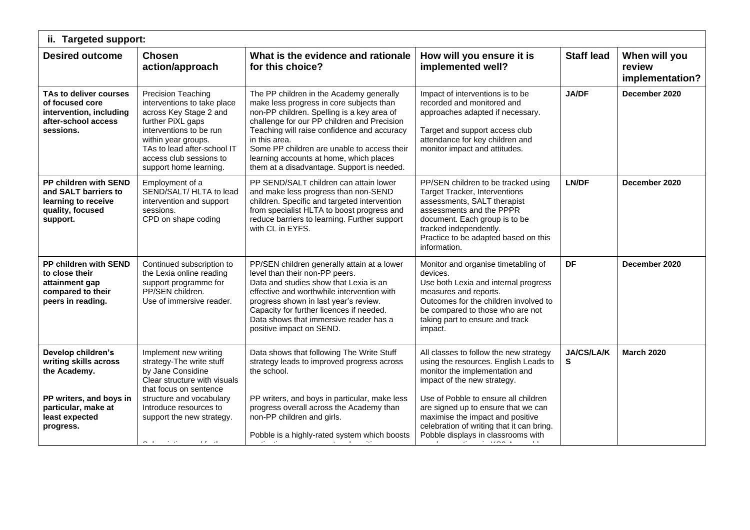| ii. Targeted support:                                                                                    |                                                                                                                                                                                                                                        |                                                                                                                                                                                                                                                                                                                                                                                           |                                                                                                                                                                                                                                                           |                        |                                            |  |  |
|----------------------------------------------------------------------------------------------------------|----------------------------------------------------------------------------------------------------------------------------------------------------------------------------------------------------------------------------------------|-------------------------------------------------------------------------------------------------------------------------------------------------------------------------------------------------------------------------------------------------------------------------------------------------------------------------------------------------------------------------------------------|-----------------------------------------------------------------------------------------------------------------------------------------------------------------------------------------------------------------------------------------------------------|------------------------|--------------------------------------------|--|--|
| <b>Desired outcome</b>                                                                                   | <b>Chosen</b><br>action/approach                                                                                                                                                                                                       | What is the evidence and rationale<br>for this choice?                                                                                                                                                                                                                                                                                                                                    | How will you ensure it is<br>implemented well?                                                                                                                                                                                                            | <b>Staff lead</b>      | When will you<br>review<br>implementation? |  |  |
| TAs to deliver courses<br>of focused core<br>intervention, including<br>after-school access<br>sessions. | Precision Teaching<br>interventions to take place<br>across Key Stage 2 and<br>further PiXL gaps<br>interventions to be run<br>within year groups.<br>TAs to lead after-school IT<br>access club sessions to<br>support home learning. | The PP children in the Academy generally<br>make less progress in core subjects than<br>non-PP children. Spelling is a key area of<br>challenge for our PP children and Precision<br>Teaching will raise confidence and accuracy<br>in this area.<br>Some PP children are unable to access their<br>learning accounts at home, which places<br>them at a disadvantage. Support is needed. | Impact of interventions is to be<br>recorded and monitored and<br>approaches adapted if necessary.<br>Target and support access club<br>attendance for key children and<br>monitor impact and attitudes.                                                  | <b>JA/DF</b>           | December 2020                              |  |  |
| PP children with SEND<br>and SALT barriers to<br>learning to receive<br>quality, focused<br>support.     | Employment of a<br>SEND/SALT/ HLTA to lead<br>intervention and support<br>sessions.<br>CPD on shape coding                                                                                                                             | PP SEND/SALT children can attain lower<br>and make less progress than non-SEND<br>children. Specific and targeted intervention<br>from specialist HLTA to boost progress and<br>reduce barriers to learning. Further support<br>with CL in EYFS.                                                                                                                                          | PP/SEN children to be tracked using<br><b>Target Tracker, Interventions</b><br>assessments, SALT therapist<br>assessments and the PPPR<br>document. Each group is to be<br>tracked independently.<br>Practice to be adapted based on this<br>information. | LN/DF                  | December 2020                              |  |  |
| PP children with SEND<br>to close their<br>attainment gap<br>compared to their<br>peers in reading.      | Continued subscription to<br>the Lexia online reading<br>support programme for<br>PP/SEN children.<br>Use of immersive reader.                                                                                                         | PP/SEN children generally attain at a lower<br>level than their non-PP peers.<br>Data and studies show that Lexia is an<br>effective and worthwhile intervention with<br>progress shown in last year's review.<br>Capacity for further licences if needed.<br>Data shows that immersive reader has a<br>positive impact on SEND.                                                          | Monitor and organise timetabling of<br>devices.<br>Use both Lexia and internal progress<br>measures and reports.<br>Outcomes for the children involved to<br>be compared to those who are not<br>taking part to ensure and track<br>impact.               | DF                     | December 2020                              |  |  |
| Develop children's<br>writing skills across<br>the Academy.<br>PP writers, and boys in                   | Implement new writing<br>strategy-The write stuff<br>by Jane Considine<br>Clear structure with visuals<br>that focus on sentence<br>structure and vocabulary                                                                           | Data shows that following The Write Stuff<br>strategy leads to improved progress across<br>the school.<br>PP writers, and boys in particular, make less                                                                                                                                                                                                                                   | All classes to follow the new strategy<br>using the resources. English Leads to<br>monitor the implementation and<br>impact of the new strategy.<br>Use of Pobble to ensure all children                                                                  | <b>JA/CS/LA/K</b><br>S | <b>March 2020</b>                          |  |  |
| particular, make at<br>least expected<br>progress.                                                       | Introduce resources to<br>support the new strategy.<br><b>Allen Control</b><br>$\mathbf{r}=\mathbf{r}+\mathbf{r}$ . Then, $\mathbf{r}$                                                                                                 | progress overall across the Academy than<br>non-PP children and girls.<br>Pobble is a highly-rated system which boosts                                                                                                                                                                                                                                                                    | are signed up to ensure that we can<br>maximise the impact and positive<br>celebration of writing that it can bring.<br>Pobble displays in classrooms with<br>$\cdot$ $\cdot$ $\cdot$                                                                     |                        |                                            |  |  |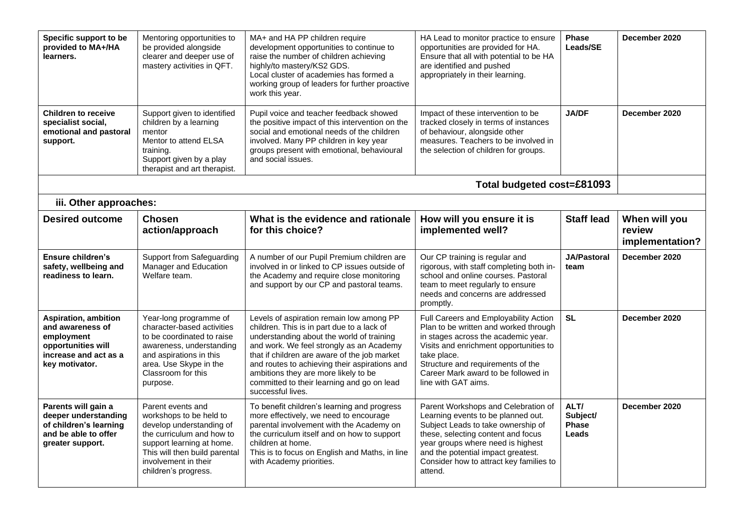| Specific support to be<br>provided to MA+/HA<br>learners.                                                                      | Mentoring opportunities to<br>be provided alongside<br>clearer and deeper use of<br>mastery activities in QFT.                                                                                                      | MA+ and HA PP children require<br>development opportunities to continue to<br>raise the number of children achieving<br>highly/to mastery/KS2 GDS.<br>Local cluster of academies has formed a<br>working group of leaders for further proactive<br>work this year.                                                                                                                          | HA Lead to monitor practice to ensure<br>opportunities are provided for HA.<br>Ensure that all with potential to be HA<br>are identified and pushed<br>appropriately in their learning.                                                                                                | <b>Phase</b><br>Leads/SE                  | December 2020                              |
|--------------------------------------------------------------------------------------------------------------------------------|---------------------------------------------------------------------------------------------------------------------------------------------------------------------------------------------------------------------|---------------------------------------------------------------------------------------------------------------------------------------------------------------------------------------------------------------------------------------------------------------------------------------------------------------------------------------------------------------------------------------------|----------------------------------------------------------------------------------------------------------------------------------------------------------------------------------------------------------------------------------------------------------------------------------------|-------------------------------------------|--------------------------------------------|
| <b>Children to receive</b><br>specialist social,<br>emotional and pastoral<br>support.                                         | Support given to identified<br>children by a learning<br>mentor<br>Mentor to attend ELSA<br>training.<br>Support given by a play<br>therapist and art therapist.                                                    | Pupil voice and teacher feedback showed<br>the positive impact of this intervention on the<br>social and emotional needs of the children<br>involved. Many PP children in key year<br>groups present with emotional, behavioural<br>and social issues.                                                                                                                                      | Impact of these intervention to be<br>tracked closely in terms of instances<br>of behaviour, alongside other<br>measures. Teachers to be involved in<br>the selection of children for groups.                                                                                          | <b>JA/DF</b>                              | December 2020                              |
|                                                                                                                                |                                                                                                                                                                                                                     |                                                                                                                                                                                                                                                                                                                                                                                             | Total budgeted cost=£81093                                                                                                                                                                                                                                                             |                                           |                                            |
| iii. Other approaches:                                                                                                         |                                                                                                                                                                                                                     |                                                                                                                                                                                                                                                                                                                                                                                             |                                                                                                                                                                                                                                                                                        |                                           |                                            |
| <b>Desired outcome</b>                                                                                                         | <b>Chosen</b><br>action/approach                                                                                                                                                                                    | What is the evidence and rationale<br>for this choice?                                                                                                                                                                                                                                                                                                                                      | How will you ensure it is<br>implemented well?                                                                                                                                                                                                                                         | <b>Staff lead</b>                         | When will you<br>review<br>implementation? |
| <b>Ensure children's</b><br>safety, wellbeing and<br>readiness to learn.                                                       | Support from Safeguarding<br>Manager and Education<br>Welfare team.                                                                                                                                                 | A number of our Pupil Premium children are<br>involved in or linked to CP issues outside of<br>the Academy and require close monitoring<br>and support by our CP and pastoral teams.                                                                                                                                                                                                        | Our CP training is regular and<br>rigorous, with staff completing both in-<br>school and online courses. Pastoral<br>team to meet regularly to ensure<br>needs and concerns are addressed<br>promptly.                                                                                 | <b>JA/Pastoral</b><br>team                | December 2020                              |
| <b>Aspiration, ambition</b><br>and awareness of<br>employment<br>opportunities will<br>increase and act as a<br>key motivator. | Year-long programme of<br>character-based activities<br>to be coordinated to raise<br>awareness, understanding<br>and aspirations in this<br>area. Use Skype in the<br>Classroom for this<br>purpose.               | Levels of aspiration remain low among PP<br>children. This is in part due to a lack of<br>understanding about the world of training<br>and work. We feel strongly as an Academy<br>that if children are aware of the job market<br>and routes to achieving their aspirations and<br>ambitions they are more likely to be<br>committed to their learning and go on lead<br>successful lives. | Full Careers and Employability Action<br>Plan to be written and worked through<br>in stages across the academic year.<br>Visits and enrichment opportunities to<br>take place.<br>Structure and requirements of the<br>Career Mark award to be followed in<br>line with GAT aims.      | <b>SL</b>                                 | December 2020                              |
| Parents will gain a<br>deeper understanding<br>of children's learning<br>and be able to offer<br>greater support.              | Parent events and<br>workshops to be held to<br>develop understanding of<br>the curriculum and how to<br>support learning at home.<br>This will then build parental<br>involvement in their<br>children's progress. | To benefit children's learning and progress<br>more effectively, we need to encourage<br>parental involvement with the Academy on<br>the curriculum itself and on how to support<br>children at home.<br>This is to focus on English and Maths, in line<br>with Academy priorities.                                                                                                         | Parent Workshops and Celebration of<br>Learning events to be planned out.<br>Subject Leads to take ownership of<br>these, selecting content and focus<br>year groups where need is highest<br>and the potential impact greatest.<br>Consider how to attract key families to<br>attend. | ALT/<br>Subject/<br><b>Phase</b><br>Leads | December 2020                              |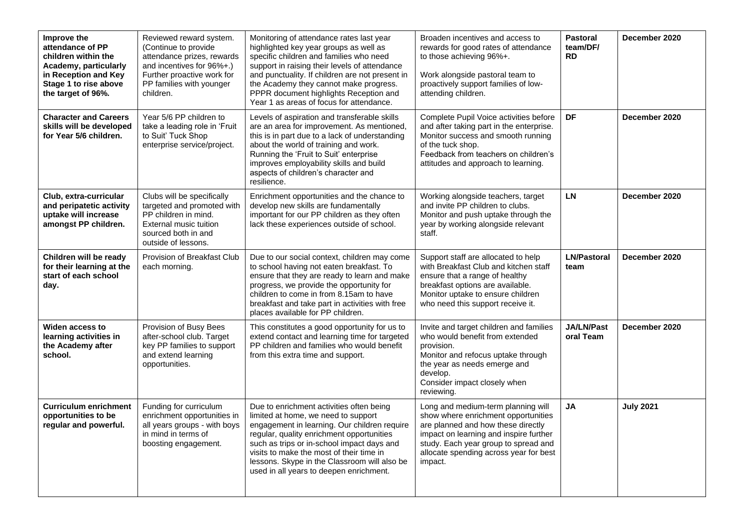| Improve the<br>attendance of PP<br>children within the<br>Academy, particularly<br>in Reception and Key<br>Stage 1 to rise above<br>the target of 96%. | Reviewed reward system.<br>(Continue to provide<br>attendance prizes, rewards<br>and incentives for 96%+.)<br>Further proactive work for<br>PP families with younger<br>children. | Monitoring of attendance rates last year<br>highlighted key year groups as well as<br>specific children and families who need<br>support in raising their levels of attendance<br>and punctuality. If children are not present in<br>the Academy they cannot make progress.<br>PPPR document highlights Reception and<br>Year 1 as areas of focus for attendance. | Broaden incentives and access to<br>rewards for good rates of attendance<br>to those achieving 96%+.<br>Work alongside pastoral team to<br>proactively support families of low-<br>attending children.                                                 | <b>Pastoral</b><br>team/DF/<br><b>RD</b> | December 2020    |
|--------------------------------------------------------------------------------------------------------------------------------------------------------|-----------------------------------------------------------------------------------------------------------------------------------------------------------------------------------|-------------------------------------------------------------------------------------------------------------------------------------------------------------------------------------------------------------------------------------------------------------------------------------------------------------------------------------------------------------------|--------------------------------------------------------------------------------------------------------------------------------------------------------------------------------------------------------------------------------------------------------|------------------------------------------|------------------|
| <b>Character and Careers</b><br>skills will be developed<br>for Year 5/6 children.                                                                     | Year 5/6 PP children to<br>take a leading role in 'Fruit<br>to Suit' Tuck Shop<br>enterprise service/project.                                                                     | Levels of aspiration and transferable skills<br>are an area for improvement. As mentioned,<br>this is in part due to a lack of understanding<br>about the world of training and work.<br>Running the 'Fruit to Suit' enterprise<br>improves employability skills and build<br>aspects of children's character and<br>resilience.                                  | Complete Pupil Voice activities before<br>and after taking part in the enterprise.<br>Monitor success and smooth running<br>of the tuck shop.<br>Feedback from teachers on children's<br>attitudes and approach to learning.                           | <b>DF</b>                                | December 2020    |
| Club, extra-curricular<br>and peripatetic activity<br>uptake will increase<br>amongst PP children.                                                     | Clubs will be specifically<br>targeted and promoted with<br>PP children in mind.<br>External music tuition<br>sourced both in and<br>outside of lessons.                          | Enrichment opportunities and the chance to<br>develop new skills are fundamentally<br>important for our PP children as they often<br>lack these experiences outside of school.                                                                                                                                                                                    | Working alongside teachers, target<br>and invite PP children to clubs.<br>Monitor and push uptake through the<br>year by working alongside relevant<br>staff.                                                                                          | <b>LN</b>                                | December 2020    |
| Children will be ready<br>for their learning at the<br>start of each school<br>day.                                                                    | Provision of Breakfast Club<br>each morning.                                                                                                                                      | Due to our social context, children may come<br>to school having not eaten breakfast. To<br>ensure that they are ready to learn and make<br>progress, we provide the opportunity for<br>children to come in from 8.15am to have<br>breakfast and take part in activities with free<br>places available for PP children.                                           | Support staff are allocated to help<br>with Breakfast Club and kitchen staff<br>ensure that a range of healthy<br>breakfast options are available.<br>Monitor uptake to ensure children<br>who need this support receive it.                           | <b>LN/Pastoral</b><br>team               | December 2020    |
| Widen access to<br>learning activities in<br>the Academy after<br>school.                                                                              | Provision of Busy Bees<br>after-school club. Target<br>key PP families to support<br>and extend learning<br>opportunities.                                                        | This constitutes a good opportunity for us to<br>extend contact and learning time for targeted<br>PP children and families who would benefit<br>from this extra time and support.                                                                                                                                                                                 | Invite and target children and families<br>who would benefit from extended<br>provision.<br>Monitor and refocus uptake through<br>the year as needs emerge and<br>develop.<br>Consider impact closely when<br>reviewing.                               | <b>JA/LN/Past</b><br>oral Team           | December 2020    |
| <b>Curriculum enrichment</b><br>opportunities to be<br>regular and powerful.                                                                           | Funding for curriculum<br>enrichment opportunities in<br>all years groups - with boys<br>in mind in terms of<br>boosting engagement.                                              | Due to enrichment activities often being<br>limited at home, we need to support<br>engagement in learning. Our children require<br>regular, quality enrichment opportunities<br>such as trips or in-school impact days and<br>visits to make the most of their time in<br>lessons. Skype in the Classroom will also be<br>used in all years to deepen enrichment. | Long and medium-term planning will<br>show where enrichment opportunities<br>are planned and how these directly<br>impact on learning and inspire further<br>study. Each year group to spread and<br>allocate spending across year for best<br>impact. | <b>JA</b>                                | <b>July 2021</b> |